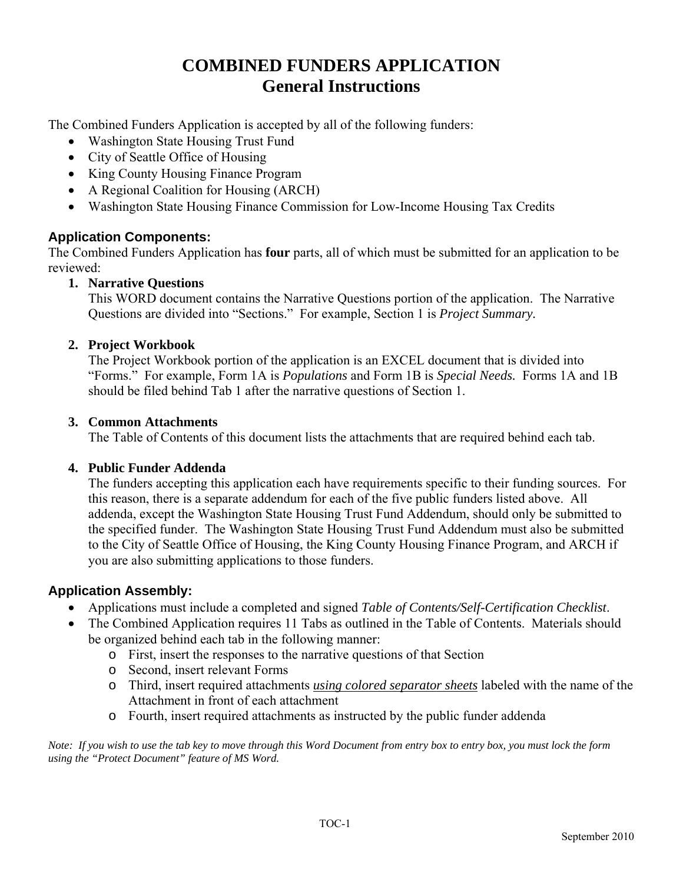## **COMBINED FUNDERS APPLICATION General Instructions**

The Combined Funders Application is accepted by all of the following funders:

- Washington State Housing Trust Fund
- City of Seattle Office of Housing
- King County Housing Finance Program
- A Regional Coalition for Housing (ARCH)
- Washington State Housing Finance Commission for Low-Income Housing Tax Credits

## **Application Components:**

The Combined Funders Application has **four** parts, all of which must be submitted for an application to be reviewed:

## **1. Narrative Questions**

This WORD document contains the Narrative Questions portion of the application. The Narrative Questions are divided into "Sections." For example, Section 1 is *Project Summary.*

## **2. Project Workbook**

The Project Workbook portion of the application is an EXCEL document that is divided into "Forms." For example, Form 1A is *Populations* and Form 1B is *Special Needs.* Forms 1A and 1B should be filed behind Tab 1 after the narrative questions of Section 1.

### **3. Common Attachments**

The Table of Contents of this document lists the attachments that are required behind each tab.

## **4. Public Funder Addenda**

The funders accepting this application each have requirements specific to their funding sources. For this reason, there is a separate addendum for each of the five public funders listed above. All addenda, except the Washington State Housing Trust Fund Addendum, should only be submitted to the specified funder. The Washington State Housing Trust Fund Addendum must also be submitted to the City of Seattle Office of Housing, the King County Housing Finance Program, and ARCH if you are also submitting applications to those funders.

## **Application Assembly:**

- Applications must include a completed and signed *Table of Contents/Self-Certification Checklist*.
- The Combined Application requires 11 Tabs as outlined in the Table of Contents. Materials should be organized behind each tab in the following manner:
	- o First, insert the responses to the narrative questions of that Section
	- o Second, insert relevant Forms
	- o Third, insert required attachments *using colored separator sheets* labeled with the name of the Attachment in front of each attachment
	- o Fourth, insert required attachments as instructed by the public funder addenda

*Note: If you wish to use the tab key to move through this Word Document from entry box to entry box, you must lock the form using the "Protect Document" feature of MS Word.*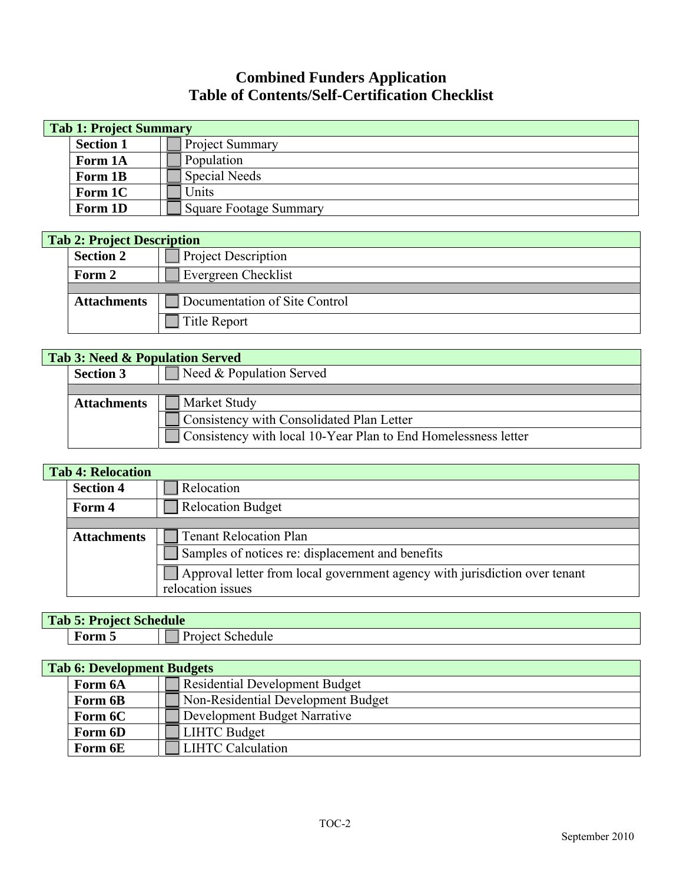## **Combined Funders Application Table of Contents/Self-Certification Checklist**

|                                                                                                                            | <b>Tab 1: Project Summary</b> |                               |  |
|----------------------------------------------------------------------------------------------------------------------------|-------------------------------|-------------------------------|--|
| <b>Section 1</b><br><b>Project Summary</b><br>Population<br>Form 1A<br><b>Special Needs</b><br>Form 1B<br>Form 1C<br>Units |                               |                               |  |
|                                                                                                                            |                               |                               |  |
|                                                                                                                            |                               |                               |  |
|                                                                                                                            |                               |                               |  |
|                                                                                                                            | Form 1D                       | <b>Square Footage Summary</b> |  |

|                                                     | <b>Tab 2: Project Description</b>    |  |
|-----------------------------------------------------|--------------------------------------|--|
| <b>Project Description</b><br><b>Section 2</b>      |                                      |  |
|                                                     | <b>Evergreen Checklist</b><br>Form 2 |  |
|                                                     |                                      |  |
| Documentation of Site Control<br><b>Attachments</b> |                                      |  |
| Title Report                                        |                                      |  |

|                                              | <b>Tab 3: Need &amp; Population Served</b> |                                                                |  |
|----------------------------------------------|--------------------------------------------|----------------------------------------------------------------|--|
| Need & Population Served<br><b>Section 3</b> |                                            |                                                                |  |
|                                              |                                            |                                                                |  |
| <b>Market Study</b><br><b>Attachments</b>    |                                            |                                                                |  |
| Consistency with Consolidated Plan Letter    |                                            |                                                                |  |
|                                              |                                            | Consistency with local 10-Year Plan to End Homelessness letter |  |

|                                    | <b>Tab 4: Relocation</b>                            |                                                                            |  |  |  |
|------------------------------------|-----------------------------------------------------|----------------------------------------------------------------------------|--|--|--|
|                                    | Relocation<br><b>Section 4</b>                      |                                                                            |  |  |  |
| <b>Relocation Budget</b><br>Form 4 |                                                     |                                                                            |  |  |  |
|                                    |                                                     |                                                                            |  |  |  |
|                                    | <b>Tenant Relocation Plan</b><br><b>Attachments</b> |                                                                            |  |  |  |
|                                    |                                                     | Samples of notices re: displacement and benefits                           |  |  |  |
|                                    |                                                     | Approval letter from local government agency with jurisdiction over tenant |  |  |  |
|                                    | relocation issues                                   |                                                                            |  |  |  |

## **Tab 5: Project Schedule Form** Project Schedule

|                                                                       | <b>Tab 6: Development Budgets</b> |  |  |
|-----------------------------------------------------------------------|-----------------------------------|--|--|
| <b>Residential Development Budget</b><br>Form 6A                      |                                   |  |  |
| Non-Residential Development Budget<br>Form 6B                         |                                   |  |  |
| Development Budget Narrative<br>Form 6C                               |                                   |  |  |
| <b>LIHTC Budget</b><br>Form 6D<br><b>LIHTC</b> Calculation<br>Form 6E |                                   |  |  |
|                                                                       |                                   |  |  |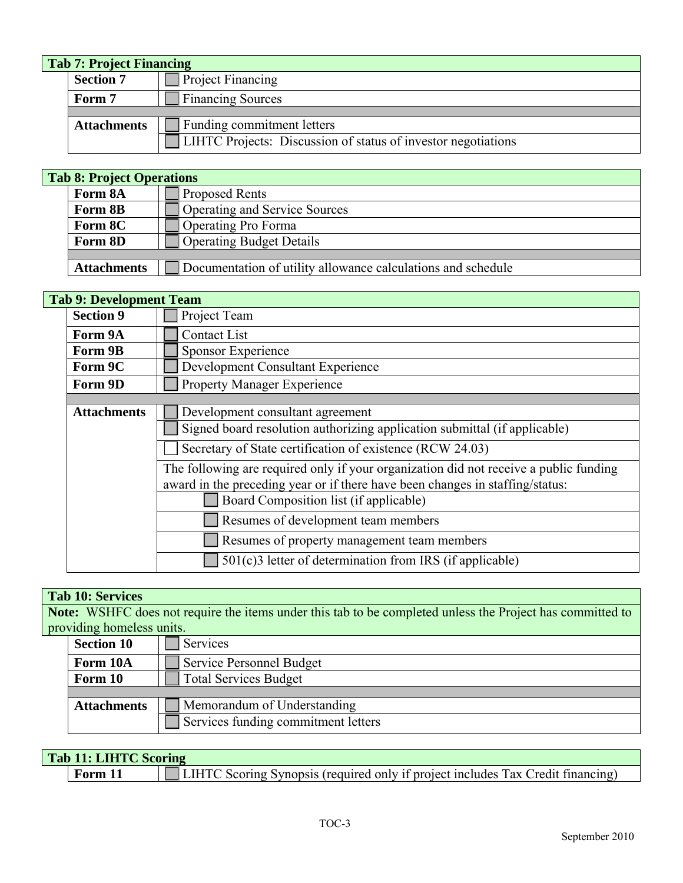|                                                  | <b>Tab 7: Project Financing</b> |                                                                      |  |  |  |
|--------------------------------------------------|---------------------------------|----------------------------------------------------------------------|--|--|--|
|                                                  | <b>Section 7</b>                | <b>Project Financing</b>                                             |  |  |  |
| <b>Financing Sources</b><br>Form 7               |                                 |                                                                      |  |  |  |
|                                                  |                                 |                                                                      |  |  |  |
| Funding commitment letters<br><b>Attachments</b> |                                 |                                                                      |  |  |  |
|                                                  |                                 | <b>LIHTC Projects:</b> Discussion of status of investor negotiations |  |  |  |

|                                                                                                                                 | <b>Tab 8: Project Operations</b> |                       |  |
|---------------------------------------------------------------------------------------------------------------------------------|----------------------------------|-----------------------|--|
|                                                                                                                                 | Form 8A                          | <b>Proposed Rents</b> |  |
| Operating and Service Sources<br>Form 8B<br><b>Operating Pro Forma</b><br>Form 8C<br><b>Operating Budget Details</b><br>Form 8D |                                  |                       |  |
|                                                                                                                                 |                                  |                       |  |
|                                                                                                                                 |                                  |                       |  |
|                                                                                                                                 |                                  |                       |  |
| Documentation of utility allowance calculations and schedule<br><b>Attachments</b>                                              |                                  |                       |  |

|                    | <b>Tab 9: Development Team</b>                                                                                                                                         |  |  |  |
|--------------------|------------------------------------------------------------------------------------------------------------------------------------------------------------------------|--|--|--|
| <b>Section 9</b>   | Project Team                                                                                                                                                           |  |  |  |
| Form 9A            | <b>Contact List</b>                                                                                                                                                    |  |  |  |
| Form 9B            | Sponsor Experience                                                                                                                                                     |  |  |  |
| Form 9C            | Development Consultant Experience                                                                                                                                      |  |  |  |
| Form 9D            | <b>Property Manager Experience</b>                                                                                                                                     |  |  |  |
|                    |                                                                                                                                                                        |  |  |  |
| <b>Attachments</b> | Development consultant agreement                                                                                                                                       |  |  |  |
|                    | Signed board resolution authorizing application submittal (if applicable)                                                                                              |  |  |  |
|                    | Secretary of State certification of existence (RCW 24.03)                                                                                                              |  |  |  |
|                    | The following are required only if your organization did not receive a public funding<br>award in the preceding year or if there have been changes in staffing/status: |  |  |  |
|                    | Board Composition list (if applicable)                                                                                                                                 |  |  |  |
|                    | Resumes of development team members                                                                                                                                    |  |  |  |
|                    | Resumes of property management team members                                                                                                                            |  |  |  |
|                    | $501(c)$ 3 letter of determination from IRS (if applicable)                                                                                                            |  |  |  |

## **Tab 10: Services**

**Note:** WSHFC does not require the items under this tab to be completed unless the Project has committed to providing homeless units.

| <b>Section 10</b>  | Services                            |
|--------------------|-------------------------------------|
| Form 10A           | Service Personnel Budget            |
| Form 10            | <b>Total Services Budget</b>        |
|                    |                                     |
| <b>Attachments</b> | Memorandum of Understanding         |
|                    | Services funding commitment letters |

| Tab 11: LIHTC Scoring |      |                                                                                        |
|-----------------------|------|----------------------------------------------------------------------------------------|
|                       | Form | <b>LIHTC Scoring Synopsis (required only if project includes Tax Credit financing)</b> |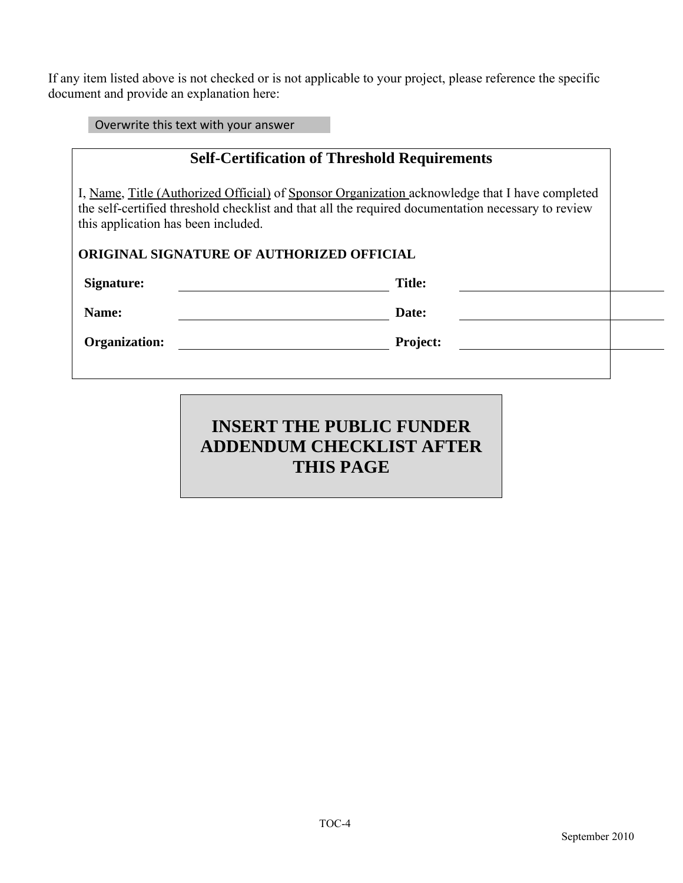If any item listed above is not checked or is not applicable to your project, please reference the specific document and provide an explanation here:

Overwrite this text with your answer

|                                                                                                                                                                                                                                             | <b>Self-Certification of Threshold Requirements</b> |  |  |  |
|---------------------------------------------------------------------------------------------------------------------------------------------------------------------------------------------------------------------------------------------|-----------------------------------------------------|--|--|--|
| I, Name, Title (Authorized Official) of Sponsor Organization acknowledge that I have completed<br>the self-certified threshold checklist and that all the required documentation necessary to review<br>this application has been included. |                                                     |  |  |  |
| <b>ORIGINAL SIGNATURE OF AUTHORIZED OFFICIAL</b>                                                                                                                                                                                            |                                                     |  |  |  |
| Signature:                                                                                                                                                                                                                                  | <b>Title:</b>                                       |  |  |  |
| Name:                                                                                                                                                                                                                                       | Date:                                               |  |  |  |
| <b>Organization:</b>                                                                                                                                                                                                                        | Project:                                            |  |  |  |
|                                                                                                                                                                                                                                             |                                                     |  |  |  |

# **INSERT THE PUBLIC FUNDER ADDENDUM CHECKLIST AFTER THIS PAGE**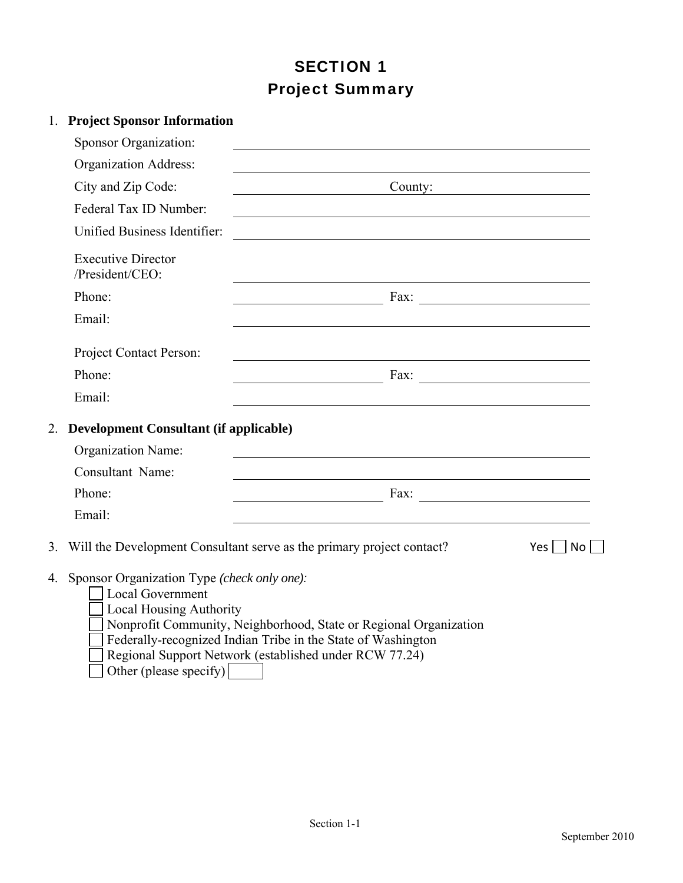## SECTION 1 Project Summary

|    | 1. Project Sponsor Information                                                                              |                                                                                                                                                                                                                                                                                     |                    |  |  |
|----|-------------------------------------------------------------------------------------------------------------|-------------------------------------------------------------------------------------------------------------------------------------------------------------------------------------------------------------------------------------------------------------------------------------|--------------------|--|--|
|    | Sponsor Organization:                                                                                       |                                                                                                                                                                                                                                                                                     |                    |  |  |
|    | <b>Organization Address:</b>                                                                                |                                                                                                                                                                                                                                                                                     |                    |  |  |
|    | City and Zip Code:                                                                                          | County:                                                                                                                                                                                                                                                                             |                    |  |  |
|    | Federal Tax ID Number:                                                                                      | <u> 1989 - Johann Stoff, fransk politik (d. 1989)</u>                                                                                                                                                                                                                               |                    |  |  |
|    | Unified Business Identifier:                                                                                |                                                                                                                                                                                                                                                                                     |                    |  |  |
|    | <b>Executive Director</b><br>/President/CEO:                                                                | and the control of the control of the control of the control of the control of the control of the control of the                                                                                                                                                                    |                    |  |  |
|    | Phone:                                                                                                      | $\frac{1}{2}$ Fax:                                                                                                                                                                                                                                                                  |                    |  |  |
|    | Email:                                                                                                      |                                                                                                                                                                                                                                                                                     |                    |  |  |
|    | Project Contact Person:                                                                                     | <u> 1989 - Johann Stoff, deutscher Stoffen und der Stoffen und der Stoffen und der Stoffen und der Stoffen und der</u>                                                                                                                                                              |                    |  |  |
|    | Phone:                                                                                                      | $\frac{1}{2}$ Fax:                                                                                                                                                                                                                                                                  |                    |  |  |
|    | Email:                                                                                                      |                                                                                                                                                                                                                                                                                     |                    |  |  |
| 2. |                                                                                                             | <b>Development Consultant (if applicable)</b>                                                                                                                                                                                                                                       |                    |  |  |
|    | Organization Name:                                                                                          | <u> 1989 - Johann Stoff, deutscher Stoffen und der Stoffen und der Stoffen und der Stoffen und der Stoffen und der</u>                                                                                                                                                              |                    |  |  |
|    | Consultant Name:                                                                                            |                                                                                                                                                                                                                                                                                     |                    |  |  |
|    | Phone:                                                                                                      | $\frac{1}{2}$ Fax:                                                                                                                                                                                                                                                                  |                    |  |  |
|    | Email:                                                                                                      |                                                                                                                                                                                                                                                                                     |                    |  |  |
| 3. |                                                                                                             | Will the Development Consultant serve as the primary project contact?                                                                                                                                                                                                               | $Yes \mid No \mid$ |  |  |
|    | 4. Sponsor Organization Type (check only one):<br><b>Local Government</b><br><b>Local Housing Authority</b> | Nonprofit Community, Neighborhood, State or Regional Organization<br>$\Gamma_{\text{Eddau}}$ $\Gamma_{\text{Eddau}}$ and $\Gamma_{\text{Eddau}}$ $\Gamma_{\text{Eddau}}$ $\Gamma_{\text{Eddau}}$ and $\Gamma_{\text{Eddau}}$ of $\Gamma_{\text{Eddau}}$ and $\Gamma_{\text{Eddau}}$ |                    |  |  |

- Federally-recognized Indian Tribe in the State of Washington Regional Support Network (established under RCW 77.24)
- $\overline{ }$ Other (please specify)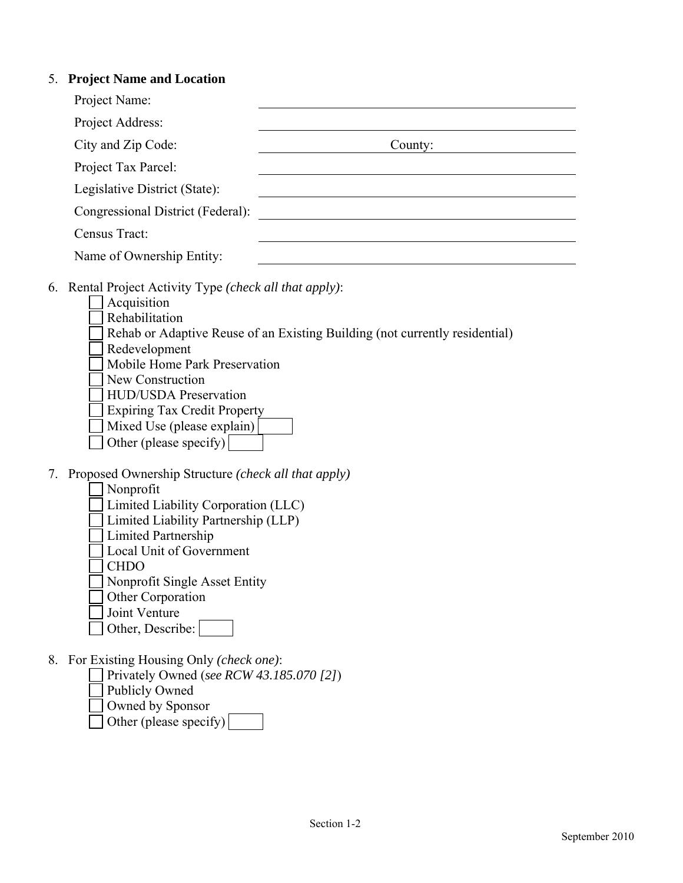## 5. **Project Name and Location**

 Owned by Sponsor Other (please specify)

|    | Project Name:                                                                                                                                                                                                                                                                                                                                                             |
|----|---------------------------------------------------------------------------------------------------------------------------------------------------------------------------------------------------------------------------------------------------------------------------------------------------------------------------------------------------------------------------|
|    | Project Address:                                                                                                                                                                                                                                                                                                                                                          |
|    | City and Zip Code:<br>County:                                                                                                                                                                                                                                                                                                                                             |
|    | Project Tax Parcel:                                                                                                                                                                                                                                                                                                                                                       |
|    | Legislative District (State):                                                                                                                                                                                                                                                                                                                                             |
|    | Congressional District (Federal):                                                                                                                                                                                                                                                                                                                                         |
|    | Census Tract:                                                                                                                                                                                                                                                                                                                                                             |
|    | Name of Ownership Entity:                                                                                                                                                                                                                                                                                                                                                 |
| 6. | Rental Project Activity Type (check all that apply):<br>Acquisition<br>Rehabilitation<br>Rehab or Adaptive Reuse of an Existing Building (not currently residential)<br>Redevelopment<br>Mobile Home Park Preservation<br>New Construction<br><b>HUD/USDA</b> Preservation<br><b>Expiring Tax Credit Property</b><br>Mixed Use (please explain)<br>Other (please specify) |
| 7. | Proposed Ownership Structure (check all that apply)<br>Nonprofit<br>Limited Liability Corporation (LLC)<br>Limited Liability Partnership (LLP)<br>Limited Partnership<br>Local Unit of Government<br><b>CHDO</b><br>Nonprofit Single Asset Entity<br>Other Corporation<br>Joint Venture<br>Other, Describe:                                                               |
|    | 8. For Existing Housing Only (check one):<br>Privately Owned (see RCW 43.185.070 [2])<br><b>Publicly Owned</b>                                                                                                                                                                                                                                                            |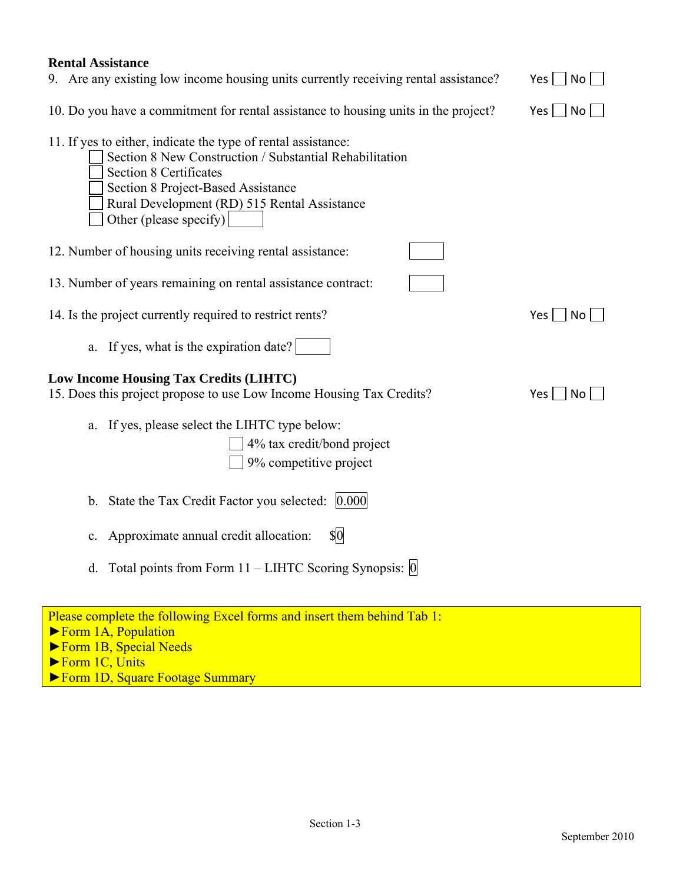| <b>Rental Assistance</b>                                                                                                                                                                                                                                                  |                      |
|---------------------------------------------------------------------------------------------------------------------------------------------------------------------------------------------------------------------------------------------------------------------------|----------------------|
| 9. Are any existing low income housing units currently receiving rental assistance?                                                                                                                                                                                       | Yes     No           |
| 10. Do you have a commitment for rental assistance to housing units in the project?                                                                                                                                                                                       | $Yes \mid \text{No}$ |
| 11. If yes to either, indicate the type of rental assistance:<br>Section 8 New Construction / Substantial Rehabilitation<br><b>Section 8 Certificates</b><br>Section 8 Project-Based Assistance<br>Rural Development (RD) 515 Rental Assistance<br>Other (please specify) |                      |
| 12. Number of housing units receiving rental assistance:                                                                                                                                                                                                                  |                      |
| 13. Number of years remaining on rental assistance contract:                                                                                                                                                                                                              |                      |
| 14. Is the project currently required to restrict rents?                                                                                                                                                                                                                  | Yes     No           |
| a. If yes, what is the expiration date?                                                                                                                                                                                                                                   |                      |
| <b>Low Income Housing Tax Credits (LIHTC)</b><br>15. Does this project propose to use Low Income Housing Tax Credits?                                                                                                                                                     | $Yes \cup No$        |
| a. If yes, please select the LIHTC type below:<br>4% tax credit/bond project<br>9% competitive project                                                                                                                                                                    |                      |
| b. State the Tax Credit Factor you selected: 0.000                                                                                                                                                                                                                        |                      |
| Approximate annual credit allocation:<br>\$0                                                                                                                                                                                                                              |                      |
| d. Total points from Form $11 - LIHTC$ Scoring Synopsis: $[0]$                                                                                                                                                                                                            |                      |
| Please complete the following Excel forms and insert them behind Tab 1:                                                                                                                                                                                                   |                      |
| Form 1A, Population                                                                                                                                                                                                                                                       |                      |
| Form 1B, Special Needs                                                                                                                                                                                                                                                    |                      |
| Form 1C, Units                                                                                                                                                                                                                                                            |                      |

►Form 1D, Square Footage Summary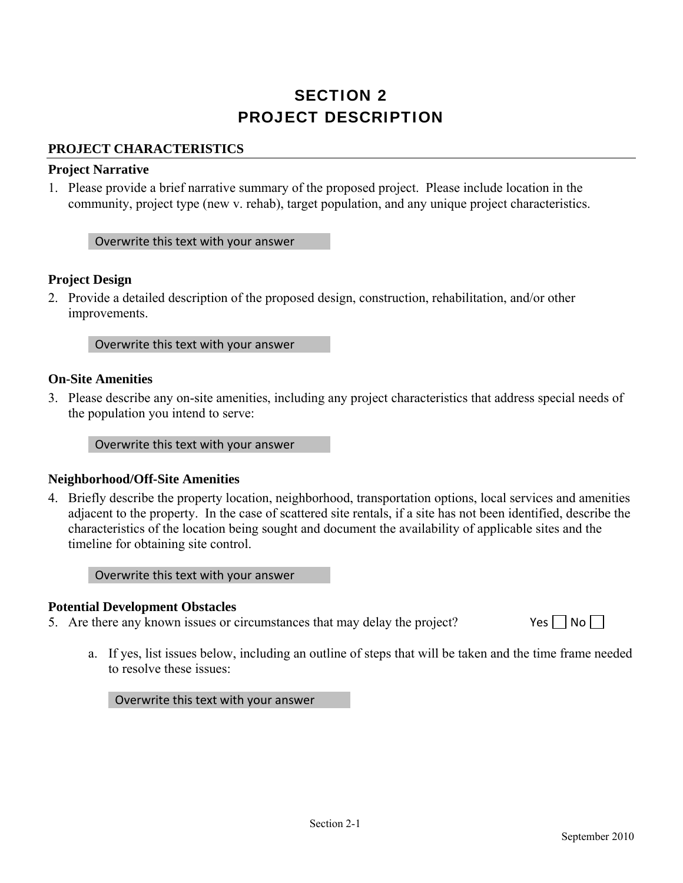## SECTION 2 PROJECT DESCRIPTION

### **PROJECT CHARACTERISTICS**

#### **Project Narrative**

1. Please provide a brief narrative summary of the proposed project. Please include location in the community, project type (new v. rehab), target population, and any unique project characteristics.

Overwrite this text with your answer

### **Project Design**

2. Provide a detailed description of the proposed design, construction, rehabilitation, and/or other improvements.

Overwrite this text with your answer

#### **On-Site Amenities**

3. Please describe any on-site amenities, including any project characteristics that address special needs of the population you intend to serve:

Overwrite this text with your answer

#### **Neighborhood/Off-Site Amenities**

4. Briefly describe the property location, neighborhood, transportation options, local services and amenities adjacent to the property. In the case of scattered site rentals, if a site has not been identified, describe the characteristics of the location being sought and document the availability of applicable sites and the timeline for obtaining site control.

Overwrite this text with your answer

#### **Potential Development Obstacles**

5. Are there any known issues or circumstances that may delay the project? Yes  $\neg$  No  $\neg$ 

a. If yes, list issues below, including an outline of steps that will be taken and the time frame needed to resolve these issues:

Overwrite this text with your answer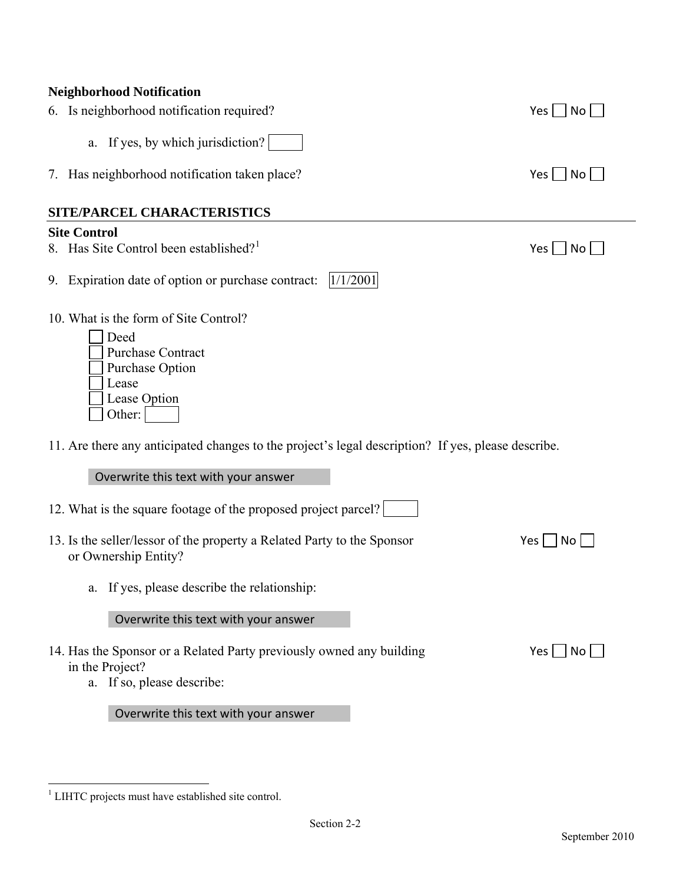| <b>Neighborhood Notification</b><br>6. Is neighborhood notification required?                                                                                 | $Yes \mid \mid No \mid$   |  |  |  |
|---------------------------------------------------------------------------------------------------------------------------------------------------------------|---------------------------|--|--|--|
| a. If yes, by which jurisdiction?                                                                                                                             |                           |  |  |  |
| 7. Has neighborhood notification taken place?                                                                                                                 | $Yes \mid No \mid$        |  |  |  |
| SITE/PARCEL CHARACTERISTICS                                                                                                                                   |                           |  |  |  |
| <b>Site Control</b><br>8. Has Site Control been established? <sup>1</sup>                                                                                     | $Yes \mid \text{No} \mid$ |  |  |  |
| 1/1/2001<br>9. Expiration date of option or purchase contract:                                                                                                |                           |  |  |  |
| 10. What is the form of Site Control?<br>Deed<br><b>Purchase Contract</b><br>Purchase Option<br>Lease<br>Lease Option<br>Other:                               |                           |  |  |  |
| 11. Are there any anticipated changes to the project's legal description? If yes, please describe.                                                            |                           |  |  |  |
| Overwrite this text with your answer                                                                                                                          |                           |  |  |  |
| 12. What is the square footage of the proposed project parcel?                                                                                                |                           |  |  |  |
| 13. Is the seller/lessor of the property a Related Party to the Sponsor<br>or Ownership Entity?                                                               | Yes  <br>  No             |  |  |  |
| a. If yes, please describe the relationship:                                                                                                                  |                           |  |  |  |
| Overwrite this text with your answer                                                                                                                          |                           |  |  |  |
| 14. Has the Sponsor or a Related Party previously owned any building<br>in the Project?<br>a. If so, please describe:<br>Overwrite this text with your answer | $Yes \mid No \mid$        |  |  |  |
|                                                                                                                                                               |                           |  |  |  |

<span id="page-8-0"></span> 1 LIHTC projects must have established site control.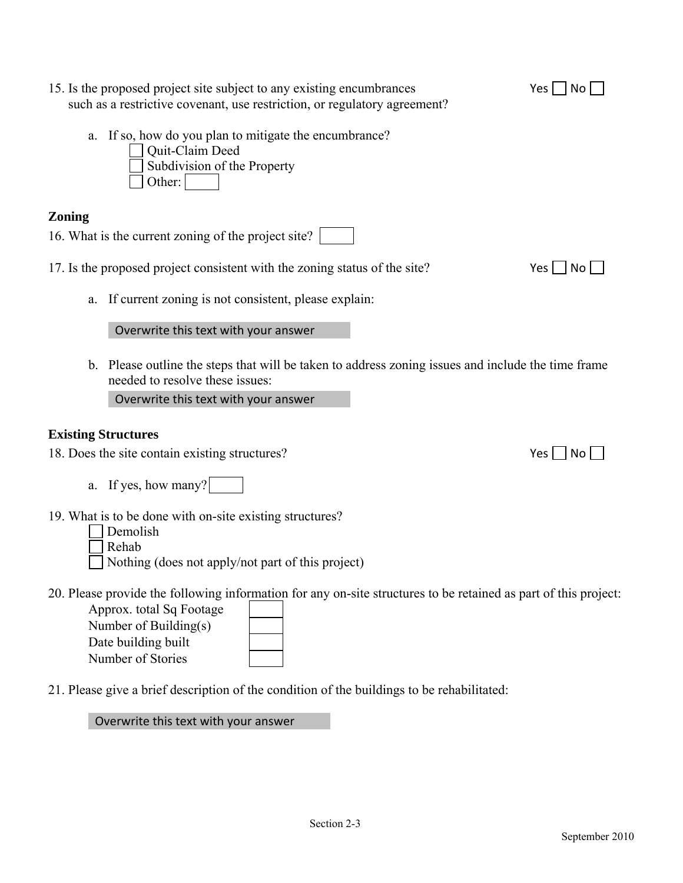15. Is the proposed project site subject to any existing encumbrances Yes  $\Box$  No  $\Box$ such as a restrictive covenant, use restriction, or regulatory agreement? a. If so, how do you plan to mitigate the encumbrance? Quit-Claim Deed Subdivision of the Property Other: **Zoning**  16. What is the current zoning of the project site? 17. Is the proposed project consistent with the zoning status of the site?  $\triangleright$  Yes  $\square$  No a. If current zoning is not consistent, please explain: Overwrite this text with your answer b. Please outline the steps that will be taken to address zoning issues and include the time frame needed to resolve these issues: Overwrite this text with your answer **Existing Structures**  18. Does the site contain existing structures? Yes No a. If yes, how many? 19. What is to be done with on-site existing structures? Demolish Rehab Nothing (does not apply/not part of this project) 20. Please provide the following information for any on-site structures to be retained as part of this project: Approx. total Sq Footage Number of Building(s) Date building built Number of Stories 21. Please give a brief description of the condition of the buildings to be rehabilitated: Overwrite this text with your answer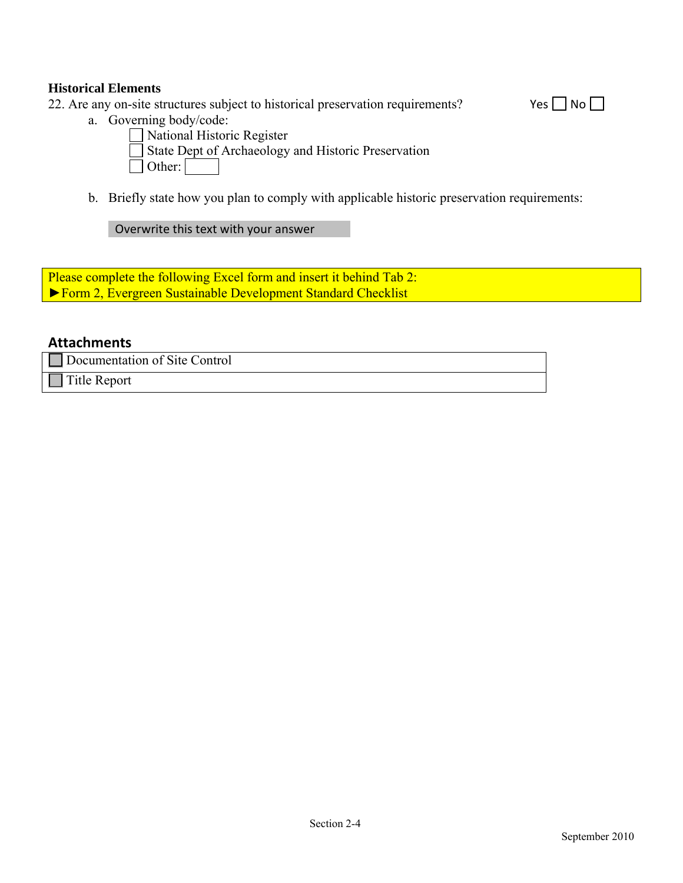### **Historical Elements**

22. Are any on-site structures subject to historical preservation requirements? Yes  $\Box$  No  $\Box$ 

- a. Governing body/code:
	- National Historic Register State Dept of Archaeology and Historic Preservation  $\Box$  Other:
- b. Briefly state how you plan to comply with applicable historic preservation requirements:

Overwrite this text with your answer

Please complete the following Excel form and insert it behind Tab 2: ►Form 2, Evergreen Sustainable Development Standard Checklist

### **Attachments**

Documentation of Site Control

Title Report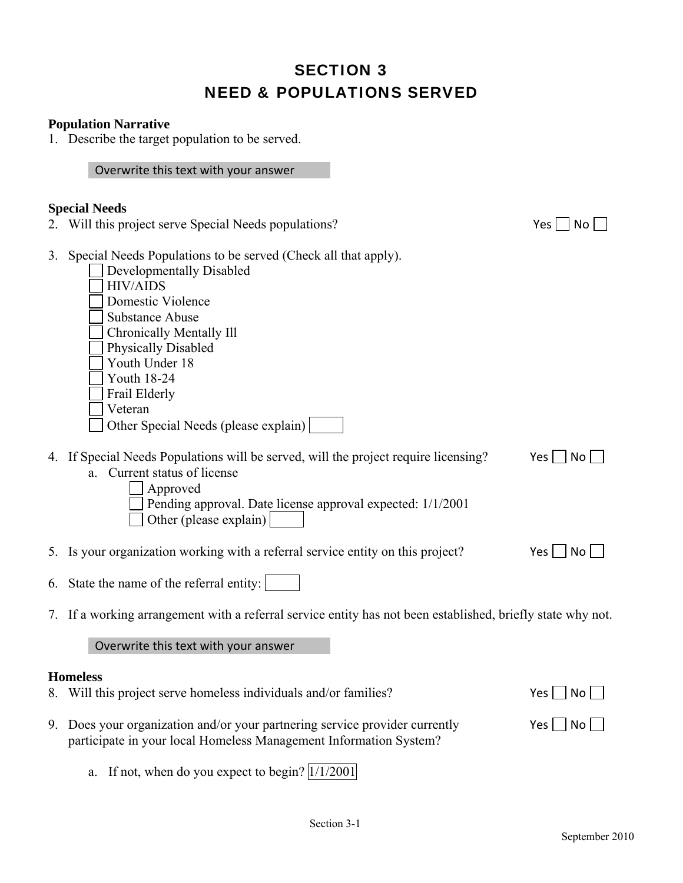## SECTION 3 NEED & POPULATIONS SERVED

#### **Population Narrative**

1. Describe the target population to be served.

### **Special Needs**

2. Will this project serve Special Needs populations?

|  | חצו |  |
|--|-----|--|

3. Special Needs Populations to be served (Check all that apply).

| Developmentally Disabled             |
|--------------------------------------|
| <b>HIV/AIDS</b>                      |
| Domestic Violence                    |
| Substance Abuse                      |
| Chronically Mentally Ill             |
| <b>Physically Disabled</b>           |
| Youth Under 18                       |
| Youth 18-24                          |
| Frail Elderly                        |
| Veteran                              |
| Other Special Needs (please explain) |

- 4. If Special Needs Populations will be served, will the project require licensing? Yes  $\Box$  No  $\Box$ 
	- a. Current status of license  $\Box$  Approved

| $  \sim$ $\sim$ $\sim$ $\sim$ $\sim$ $\sim$ |                                                                   |
|---------------------------------------------|-------------------------------------------------------------------|
|                                             | $\Box$ Pending approval. Date license approval expected: 1/1/2001 |
| $\Box$ Other (please explain)               |                                                                   |

- 5. Is your organization working with a referral service entity on this project? Yes  $\Box$  No  $\Box$
- 6. State the name of the referral entity:
- 7. If a working arrangement with a referral service entity has not been established, briefly state why not.

### Overwrite this text with your answer

#### **Homeless**

| 8. Will this project serve homeless individuals and/or families? | Yes $\Box$ No $\Box$ |
|------------------------------------------------------------------|----------------------|
|                                                                  |                      |

- 9. Does your organization and/or your partnering service provider currently  $Yes \cap No \cap$ participate in your local Homeless Management Information System?
	- a. If not, when do you expect to begin?  $|1/1/2001|$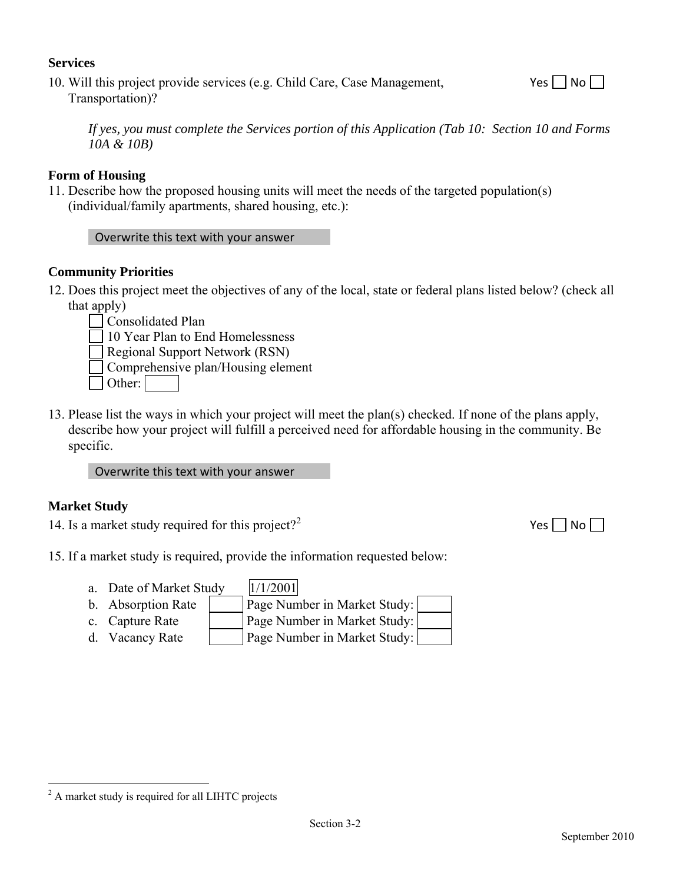#### **Services**

10. Will this project provide services (e.g. Child Care, Case Management, Yes  $\Box$  No  $\Box$ Transportation)?

*If yes, you must complete the Services portion of this Application (Tab 10: Section 10 and Forms 10A & 10B)* 

### **Form of Housing**

11. Describe how the proposed housing units will meet the needs of the targeted population(s) (individual/family apartments, shared housing, etc.):

Overwrite this text with your answer

### **Community Priorities**

12. Does this project meet the objectives of any of the local, state or federal plans listed below? (check all that apply)

Consolidated Plan

10 Year Plan to End Homelessness

Regional Support Network (RSN)

Comprehensive plan/Housing element

- Other:
- 13. Please list the ways in which your project will meet the plan(s) checked. If none of the plans apply, describe how your project will fulfill a perceived need for affordable housing in the community. Be specific.

Overwrite this text with your answer

## **Market Study**

14. Is a market study required for this project?<sup>[2](#page-12-0)</sup>

Yes  $\neg$  No  $\neg$ 

- 15. If a market study is required, provide the information requested below:
	- a. Date of Market Study  $1/1/2001$
	- b. Absorption Rate Page Number in Market Study: c. Capture Rate Page Number in Market Study: d. Vacancy Rate | Page Number in Market Study:

<span id="page-12-0"></span><sup>&</sup>lt;sup>2</sup> A market study is required for all LIHTC projects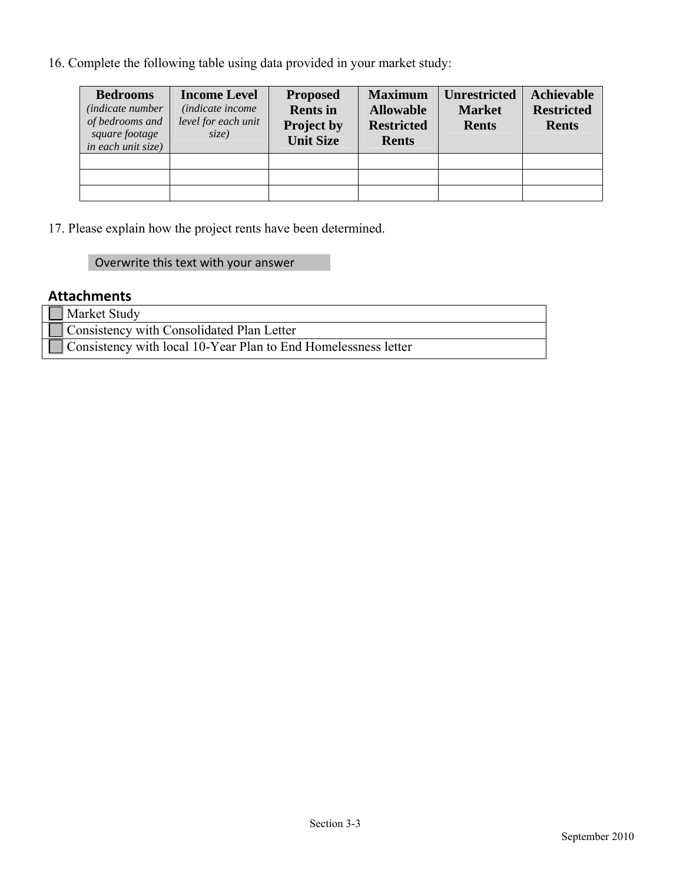16. Complete the following table using data provided in your market study:

| <b>Bedrooms</b><br><i>(indicate number)</i><br>of bedrooms and<br>square footage<br>in each unit size) | <b>Income Level</b><br><i>(indicate income)</i><br>level for each unit<br>size) | <b>Proposed</b><br><b>Rents</b> in<br><b>Project by</b><br><b>Unit Size</b> | <b>Maximum</b><br><b>Allowable</b><br><b>Restricted</b><br><b>Rents</b> | <b>Unrestricted</b><br><b>Market</b><br><b>Rents</b> | <b>Achievable</b><br><b>Restricted</b><br><b>Rents</b> |
|--------------------------------------------------------------------------------------------------------|---------------------------------------------------------------------------------|-----------------------------------------------------------------------------|-------------------------------------------------------------------------|------------------------------------------------------|--------------------------------------------------------|
|                                                                                                        |                                                                                 |                                                                             |                                                                         |                                                      |                                                        |
|                                                                                                        |                                                                                 |                                                                             |                                                                         |                                                      |                                                        |
|                                                                                                        |                                                                                 |                                                                             |                                                                         |                                                      |                                                        |

17. Please explain how the project rents have been determined.

## Overwrite this text with your answer

## **Attachments**

| Market Study                                                   |
|----------------------------------------------------------------|
| Consistency with Consolidated Plan Letter                      |
| Consistency with local 10-Year Plan to End Homelessness letter |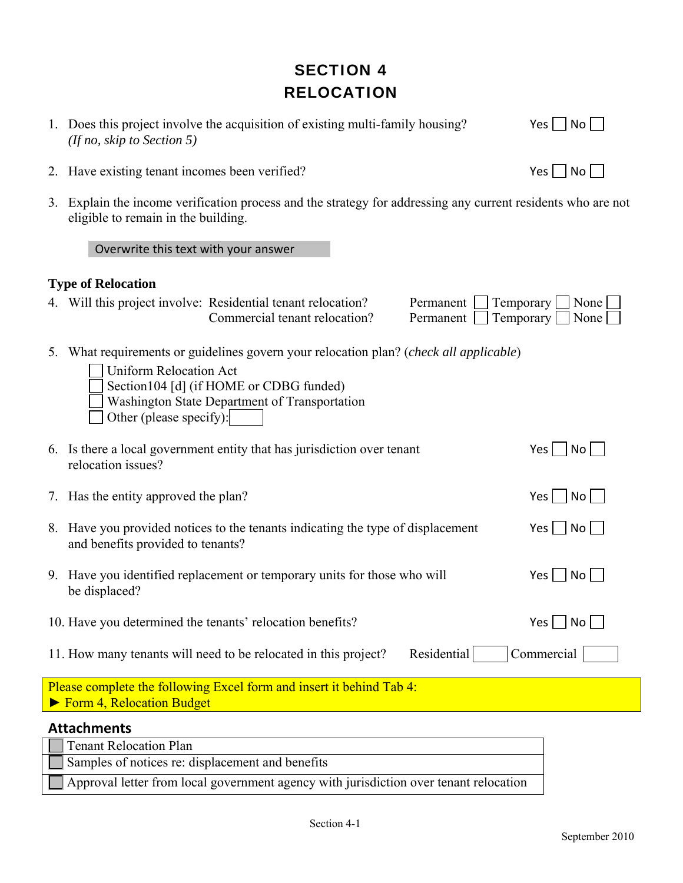| 6. Is there a local government entity that has jurisdiction over tenant<br>relocation issues? |
|-----------------------------------------------------------------------------------------------|
| 7. Has the entity approved the plan?                                                          |

| 7. Has the entity approved the plan?                                                                                 | Yes l<br>No l |
|----------------------------------------------------------------------------------------------------------------------|---------------|
| 8. Have you provided notices to the tenants indicating the type of displacement<br>and benefits provided to tenants? | Yes    No     |
| 9. Have you identified replacement or temporary units for those who will<br>be displaced?                            | Yes    No     |
| 10. Have you determined the tenants' relocation benefits?                                                            | Yes     No    |
| Residential<br>11. How many tenants will need to be relocated in this project?                                       | Commercial    |

|    | Secuolitua del (II HONIE di CDBO funded)<br>Washington State Department of Transportation<br>Other (please specify): |                 |
|----|----------------------------------------------------------------------------------------------------------------------|-----------------|
|    | 6. Is there a local government entity that has jurisdiction over tenant<br>relocation issues?                        | Yes  <br>No L   |
|    | 7. Has the entity approved the plan?                                                                                 | Yes  <br>No     |
|    | 8. Have you provided notices to the tenants indicating the type of displacement<br>and benefits provided to tenants? | $No$    <br>Yes |
| 9. | Have you identified replacement or temporary units for those who will<br>be displaced?                               | Yes l<br>No     |
|    | 10. Have you determined the tenants' relocation benefits?                                                            | Yes l<br>No     |
|    | Residential<br>11. How many tenants will need to be relocated in this project?                                       | Commercial      |
|    | Please complete the following Excel form and insert it behind Tab 4:                                                 |                 |

3. Explain the income verification process and the strategy for addressing any current residents who are not eligible to remain in the building.

SECTION 4

Overwrite this text with your answer

## **Type of Relocation**

| Commercial tenant relocation?                                                                   | Permanent Temporary None |
|-------------------------------------------------------------------------------------------------|--------------------------|
| 5. What requirements or guidelines govern your relocation plan? ( <i>check all applicable</i> ) |                          |
| Uniform Relocation Act                                                                          |                          |
| $\Box$ Section 104 [d] (if HOME or CDBG funded)                                                 |                          |
| Washington State Department of Transportation                                                   |                          |
| $\Box$ Other (plasse specify):                                                                  |                          |

4. Will this project involve: Residential tenant relocation? Permanent  $\Box$  Temporary  $\Box$  None [

| 1. Does this project involve the acquisition of existing multi-family housing? | $Yes \mid \mid No$ |  |
|--------------------------------------------------------------------------------|--------------------|--|
| (If no, skip to Section 5)                                                     |                    |  |

|  | <b>RELOCATION</b> |  |
|--|-------------------|--|
|  |                   |  |

**Attachments**

► Form 4, Relocation Budget

| <b>Tenant Relocation Plan</b>                                                         |  |
|---------------------------------------------------------------------------------------|--|
| Samples of notices re: displacement and benefits                                      |  |
| Approval letter from local government agency with jurisdiction over tenant relocation |  |
|                                                                                       |  |

|  | ۸IC، |  |
|--|------|--|
|  |      |  |

| 2. Have existing tenant incomes been verified? | Yes $\Box$ No $\Box$ |
|------------------------------------------------|----------------------|
|                                                |                      |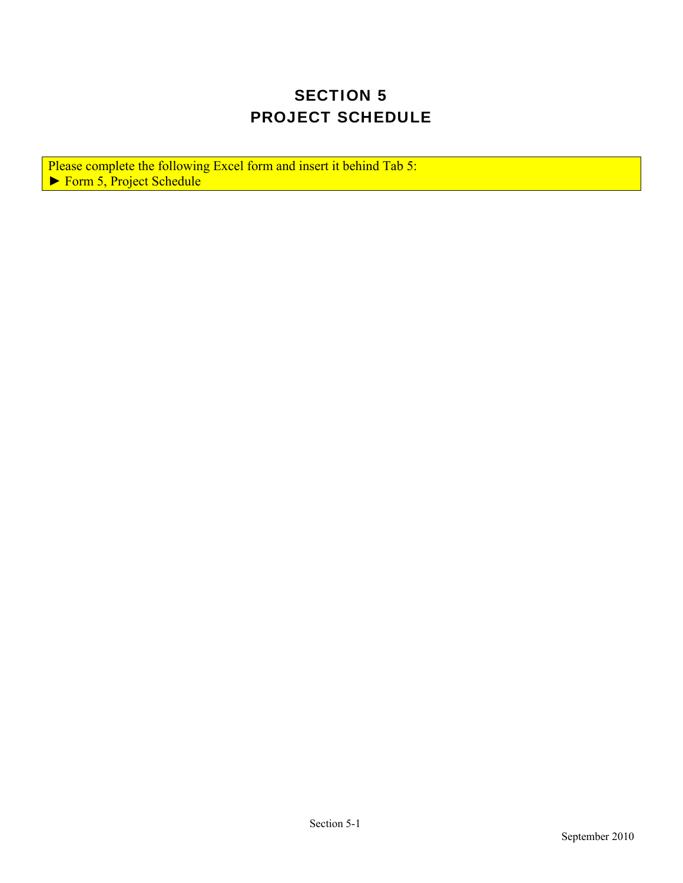## **SECTION 5** PROJECT SCHEDULE

Please complete the following Excel form and insert it behind Tab 5: ► Form 5, Project Schedule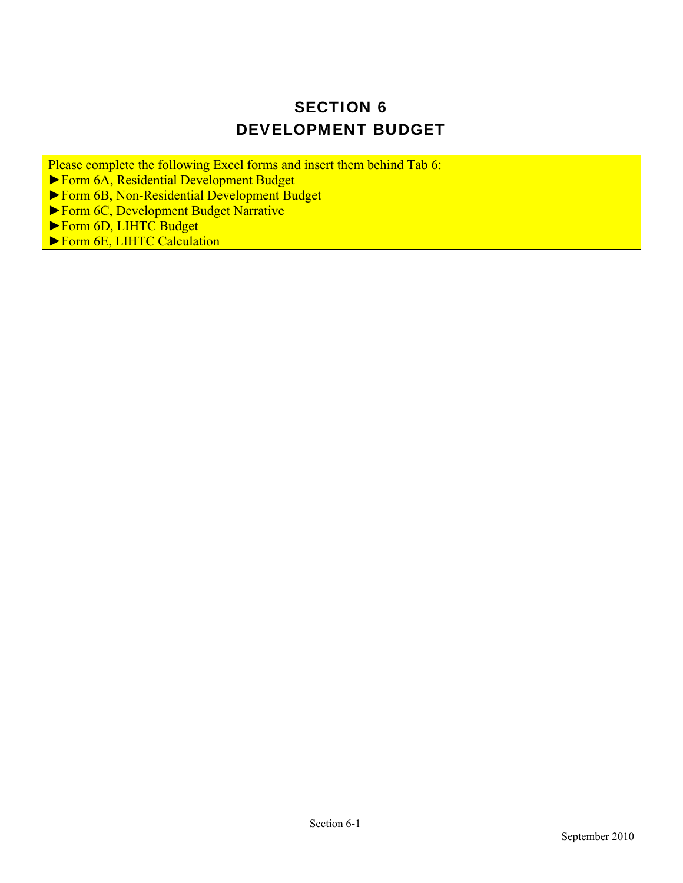## SECTION 6 DEVELOPMENT BUDGET

- Please complete the following Excel forms and insert them behind Tab 6:
- ►Form 6A, Residential Development Budget
- ►Form 6B, Non-Residential Development Budget
- ►Form 6C, Development Budget Narrative
- ►Form 6D, LIHTC Budget
- ► Form 6E, LIHTC Calculation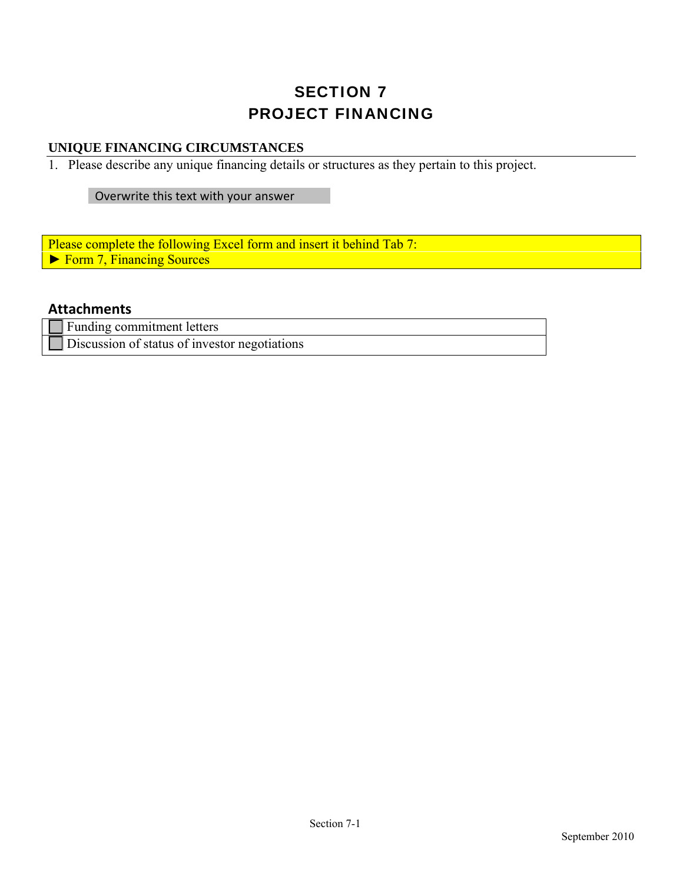## SECTION 7 PROJECT FINANCING

## **UNIQUE FINANCING CIRCUMSTANCES**

1. Please describe any unique financing details or structures as they pertain to this project.

Overwrite this text with your answer

Please complete the following Excel form and insert it behind Tab 7: ► Form 7, Financing Sources

### **Attachments**

| Funding commitment letters                    |  |
|-----------------------------------------------|--|
| Discussion of status of investor negotiations |  |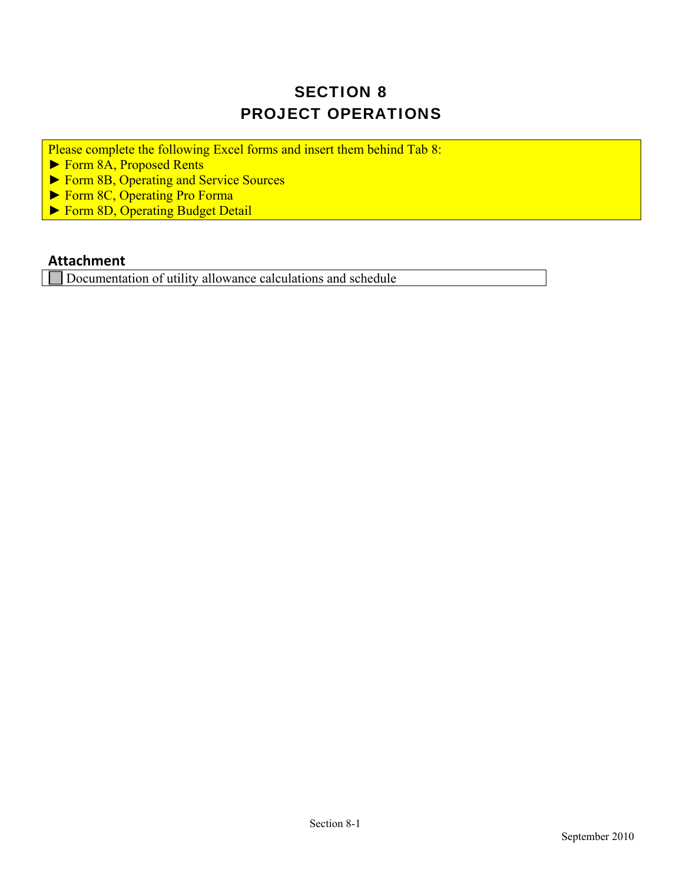## SECTION 8 PROJECT OPERATIONS

Please complete the following Excel forms and insert them behind Tab 8:

- ► Form 8A, Proposed Rents
- ► Form 8B, Operating and Service Sources
- ► Form 8C, Operating Pro Forma
- ► Form 8D, Operating Budget Detail

### **Attachment**

Documentation of utility allowance calculations and schedule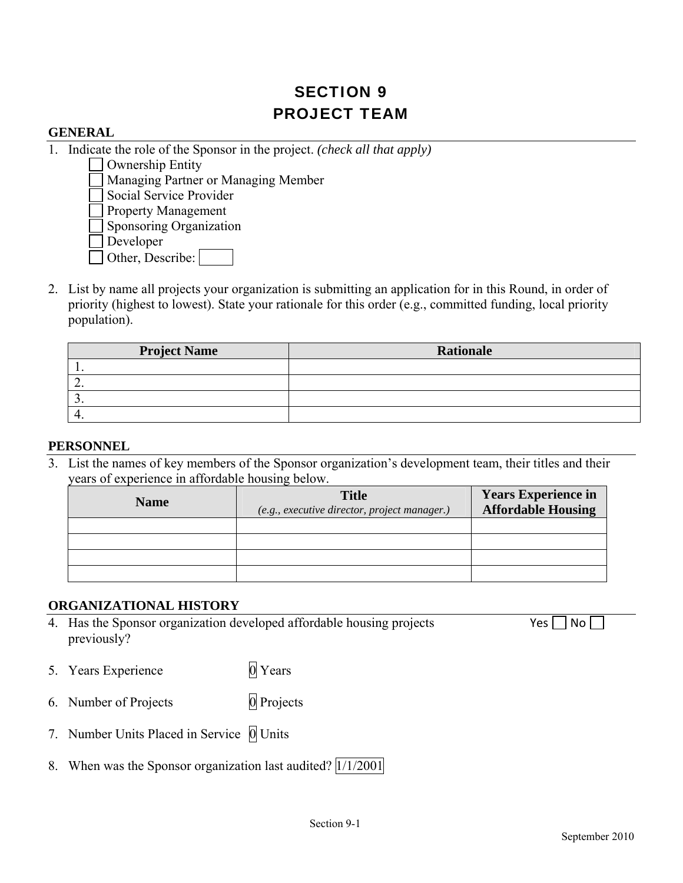## SECTION 9 PROJECT TEAM

#### **GENERAL**

- 1. Indicate the role of the Sponsor in the project. *(check all that apply)* 
	- Ownership Entity
	- Managing Partner or Managing Member
	- Social Service Provider
	- Property Management
	- Sponsoring Organization
	- Developer
	- Other, Describe:
- 2. List by name all projects your organization is submitting an application for in this Round, in order of priority (highest to lowest). State your rationale for this order (e.g., committed funding, local priority population).

| <b>Project Name</b> | <b>Rationale</b> |
|---------------------|------------------|
|                     |                  |
| <u>.</u>            |                  |
|                     |                  |
|                     |                  |

#### **PERSONNEL**

3. List the names of key members of the Sponsor organization's development team, their titles and their years of experience in affordable housing below.

| <b>Name</b> | <b>Title</b><br>(e.g., executive director, project manager.) | <b>Years Experience in</b><br><b>Affordable Housing</b> |
|-------------|--------------------------------------------------------------|---------------------------------------------------------|
|             |                                                              |                                                         |
|             |                                                              |                                                         |
|             |                                                              |                                                         |
|             |                                                              |                                                         |

### **ORGANIZATIONAL HISTORY**

- 4. Has the Sponsor organization developed affordable housing projects Yes  $\Box$  No previously?
- 

- 5. Years Experience 0 Years
- 6. Number of Projects 0 Projects
- 7. Number Units Placed in Service 0 Units
- 8. When was the Sponsor organization last audited?  $|1/1/2001|$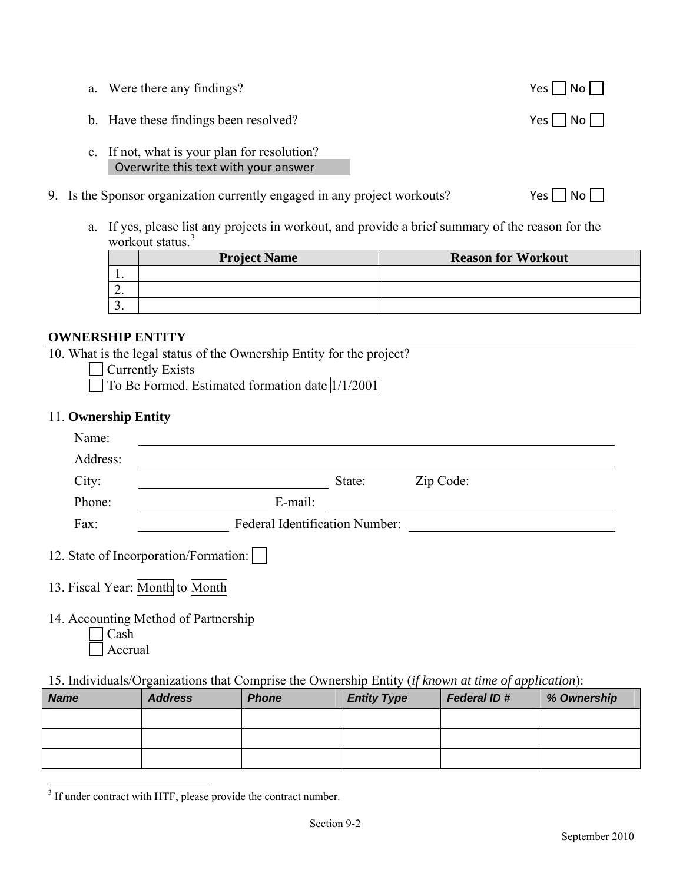- a. Were there any findings?  $Yes \Box No \Box$
- b. Have these findings been resolved?  $Yes \Box No \Box$
- c. If not, what is your plan for resolution? Overwrite this text with your answer
- 9. Is the Sponsor organization currently engaged in any project workouts?  $Yes \cap No \cap$ 
	- a. If yes, please list any projects in workout, and provide a brief summary of the reason for the workout status.<sup>[3](#page-20-0)</sup>

|          | <b>Project Name</b> | <b>Reason for Workout</b> |
|----------|---------------------|---------------------------|
| . .      |                     |                           |
| <u>.</u> |                     |                           |
| J.       |                     |                           |

## **OWNERSHIP ENTITY**

10. What is the legal status of the Ownership Entity for the project?

- Currently Exists
- To Be Formed. Estimated formation date  $\sqrt{1/1/2001}$

## 11. **Ownership Entity**

| Name:                                 |                                |        |           |  |
|---------------------------------------|--------------------------------|--------|-----------|--|
| Address:                              |                                |        |           |  |
| City:                                 |                                | State: | Zip Code: |  |
| Phone:                                | E-mail:                        |        |           |  |
| Fax:                                  | Federal Identification Number: |        |           |  |
| 12. State of Incorporation/Formation: |                                |        |           |  |
| 13. Fiscal Year: Month to Month       |                                |        |           |  |
| 14. Accounting Method of Partnership  |                                |        |           |  |

| Cash    |
|---------|
| Accrual |

 $\overline{a}$ 

15. Individuals/Organizations that Comprise the Ownership Entity (*if known at time of application*):

| <b>Name</b> | <b>Address</b> | <b>Phone</b> | <b>Entity Type</b> | <b>Federal ID#</b> | % Ownership |
|-------------|----------------|--------------|--------------------|--------------------|-------------|
|             |                |              |                    |                    |             |
|             |                |              |                    |                    |             |
|             |                |              |                    |                    |             |

<span id="page-20-0"></span><sup>&</sup>lt;sup>3</sup> If under contract with HTF, please provide the contract number.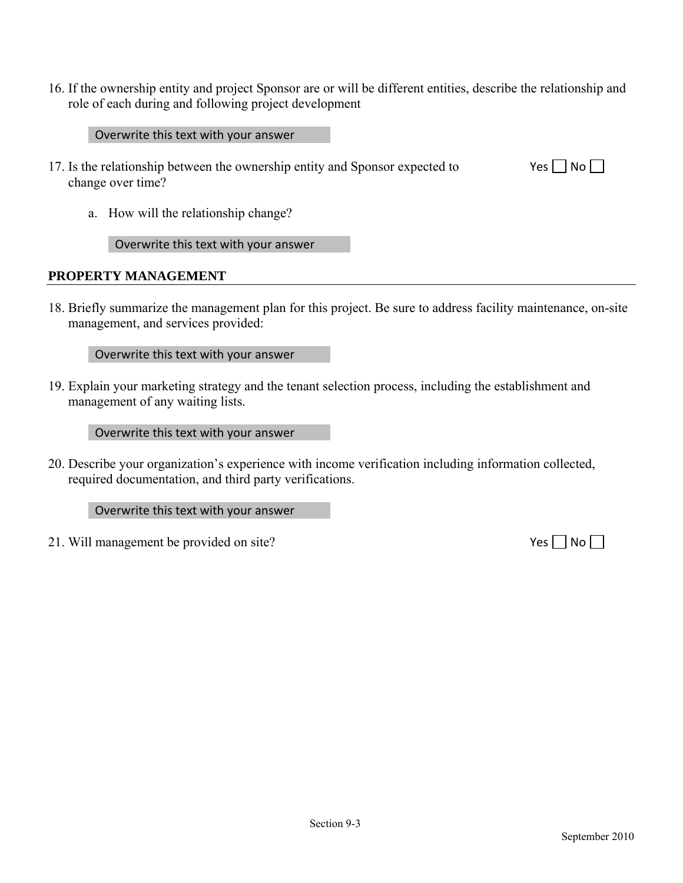16. If the ownership entity and project Sponsor are or will be different entities, describe the relationship and role of each during and following project development

Overwrite this text with your answer

- 17. Is the relationship between the ownership entity and Sponsor expected to  $\triangleright$  Yes  $\square$  No  $\square$ change over time?
- 

a. How will the relationship change?

Overwrite this text with your answer

### **PROPERTY MANAGEMENT**

18. Briefly summarize the management plan for this project. Be sure to address facility maintenance, on-site management, and services provided:

Overwrite this text with your answer

19. Explain your marketing strategy and the tenant selection process, including the establishment and management of any waiting lists.

Overwrite this text with your answer

20. Describe your organization's experience with income verification including information collected, required documentation, and third party verifications.

Overwrite this text with your answer

21. Will management be provided on site?  $Yes \Box No \Box$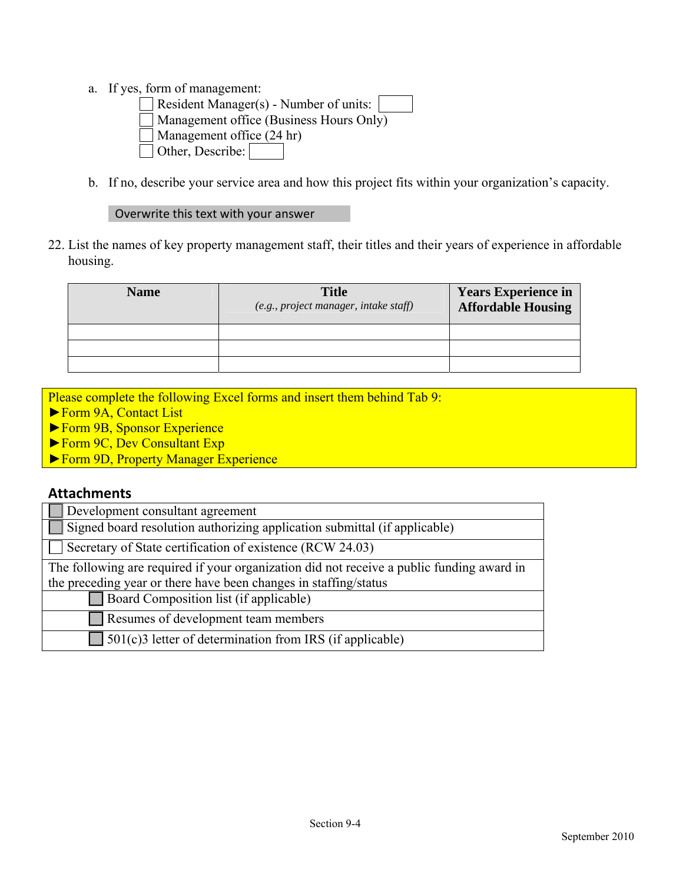- a. If yes, form of management:
	- Resident Manager(s) Number of units: Management office (Business Hours Only)
	- Management office (24 hr)
	- Other, Describe:
- b. If no, describe your service area and how this project fits within your organization's capacity.

### Overwrite this text with your answer

22. List the names of key property management staff, their titles and their years of experience in affordable housing.

| <b>Name</b> | <b>Title</b><br>(e.g., project manager, intake staff) | <b>Years Experience in</b><br><b>Affordable Housing</b> |
|-------------|-------------------------------------------------------|---------------------------------------------------------|
|             |                                                       |                                                         |
|             |                                                       |                                                         |
|             |                                                       |                                                         |

- Please complete the following Excel forms and insert them behind Tab 9:
- ►Form 9A, Contact List
- ►Form 9B, Sponsor Experience
- ►Form 9C, Dev Consultant Exp
- ►Form 9D, Property Manager Experience

### **Attachments**

| Development consultant agreement                                                          |  |
|-------------------------------------------------------------------------------------------|--|
| Signed board resolution authorizing application submittal (if applicable)                 |  |
| Secretary of State certification of existence (RCW 24.03)                                 |  |
| The following are required if your organization did not receive a public funding award in |  |
| the preceding year or there have been changes in staffing/status                          |  |
| Board Composition list (if applicable)                                                    |  |
| Resumes of development team members                                                       |  |
| $\Box$ 501(c)3 letter of determination from IRS (if applicable)                           |  |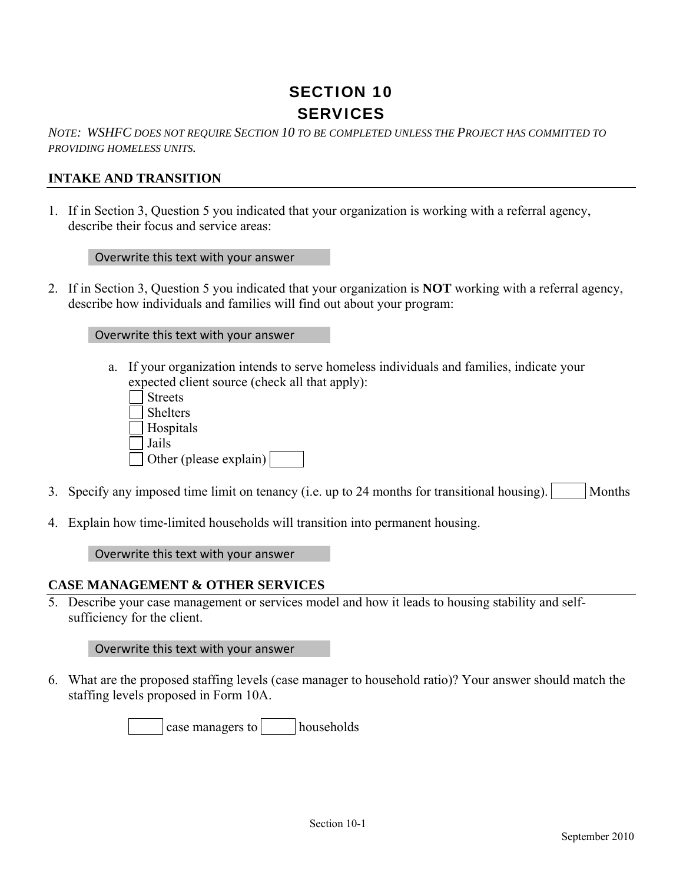## SECTION 10 **SERVICES**

*NOTE: WSHFC DOES NOT REQUIRE SECTION 10 TO BE COMPLETED UNLESS THE PROJECT HAS COMMITTED TO PROVIDING HOMELESS UNITS.* 

## **INTAKE AND TRANSITION**

1. If in Section 3, Question 5 you indicated that your organization is working with a referral agency, describe their focus and service areas:

Overwrite this text with your answer

2. If in Section 3, Question 5 you indicated that your organization is **NOT** working with a referral agency, describe how individuals and families will find out about your program:

#### Overwrite this text with your answer

a. If your organization intends to serve homeless individuals and families, indicate your expected client source (check all that apply): **Streets** Shelters

| Hospitals |
|-----------|
| Jails     |

Other (please explain)

- 3. Specify any imposed time limit on tenancy (i.e. up to 24 months for transitional housing). Months
- 4. Explain how time-limited households will transition into permanent housing.

Overwrite this text with your answer

### **CASE MANAGEMENT & OTHER SERVICES**

5. Describe your case management or services model and how it leads to housing stability and selfsufficiency for the client.

#### Overwrite this text with your answer

6. What are the proposed staffing levels (case manager to household ratio)? Your answer should match the staffing levels proposed in Form 10A.

case managers to households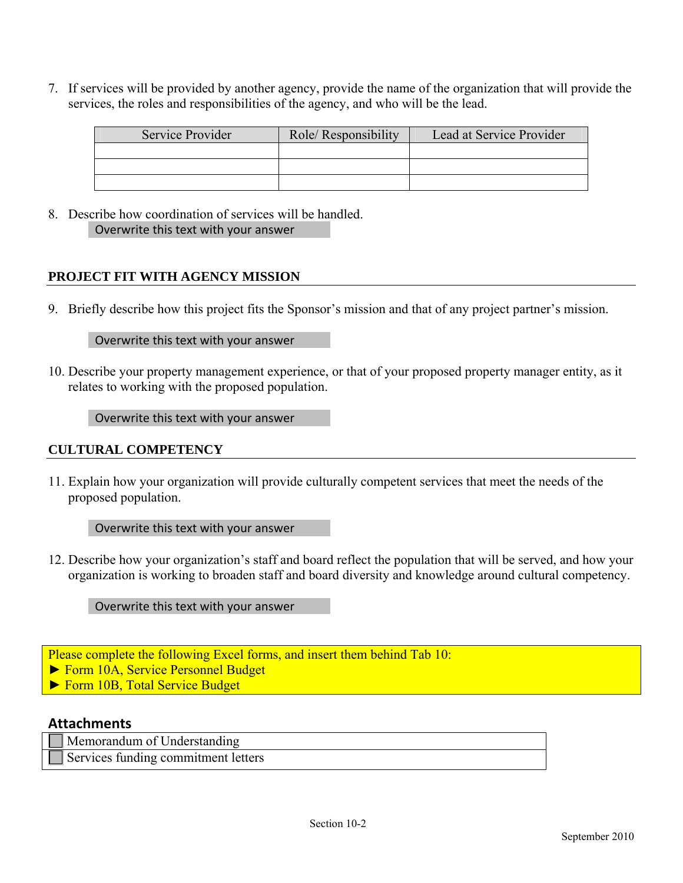7. If services will be provided by another agency, provide the name of the organization that will provide the services, the roles and responsibilities of the agency, and who will be the lead.

| Service Provider | Role/Responsibility | Lead at Service Provider |
|------------------|---------------------|--------------------------|
|                  |                     |                          |
|                  |                     |                          |
|                  |                     |                          |

8. Describe how coordination of services will be handled. Overwrite this text with your answer

## **PROJECT FIT WITH AGENCY MISSION**

9. Briefly describe how this project fits the Sponsor's mission and that of any project partner's mission.

Overwrite this text with your answer

10. Describe your property management experience, or that of your proposed property manager entity, as it relates to working with the proposed population.

Overwrite this text with your answer

### **CULTURAL COMPETENCY**

11. Explain how your organization will provide culturally competent services that meet the needs of the proposed population.

Overwrite this text with your answer

12. Describe how your organization's staff and board reflect the population that will be served, and how your organization is working to broaden staff and board diversity and knowledge around cultural competency.

Overwrite this text with your answer

- Please complete the following Excel forms, and insert them behind Tab 10:
- ► Form 10A, Service Personnel Budget
- ► Form 10B, Total Service Budget

## **Attachments**

| Memorandum of Understanding         |  |
|-------------------------------------|--|
| Services funding commitment letters |  |